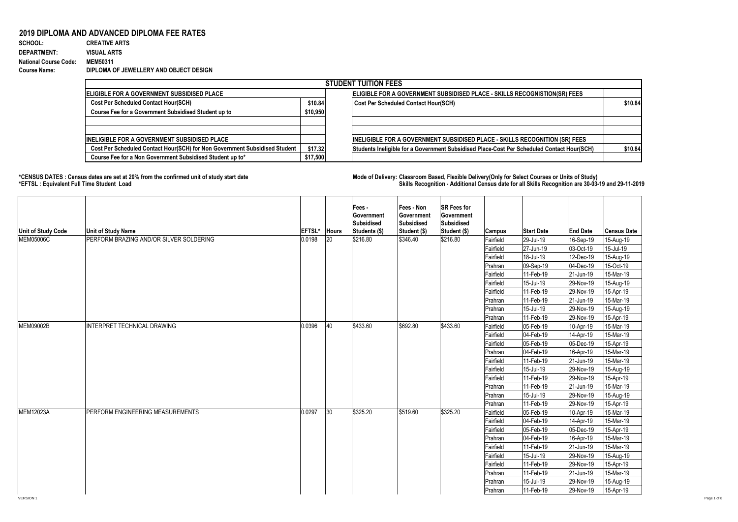## **2019 DIPLOMA AND ADVANCED DIPLOMA FEE RATES**<br>SCHOOL: CREATIVE ARTS

## **SCHOOL: CREATIVE ARTS** 1010 1 0.000990099 **DEPARTMENT: VISUAL ARTS National Course Code: MEM50311 Course Name: DIPLOMA OF JEWELLERY AND OBJECT DESIGN**

|                                                                            |          | <b>STUDENT TUITION FEES</b>                                                                |         |
|----------------------------------------------------------------------------|----------|--------------------------------------------------------------------------------------------|---------|
| <b>IELIGIBLE FOR A GOVERNMENT SUBSIDISED PLACE</b>                         |          | ELIGIBLE FOR A GOVERNMENT SUBSIDISED PLACE - SKILLS RECOGNISTION(SR) FEES                  |         |
| <b>Cost Per Scheduled Contact Hour(SCH)</b>                                | \$10.84  | <b>Cost Per Scheduled Contact Hour(SCH)</b>                                                | \$10.84 |
| Course Fee for a Government Subsidised Student up to                       | \$10,950 |                                                                                            |         |
|                                                                            |          |                                                                                            |         |
| <b>IINELIGIBLE FOR A GOVERNMENT SUBSIDISED PLACE</b>                       |          | <b>INELIGIBLE FOR A GOVERNMENT SUBSIDISED PLACE - SKILLS RECOGNITION (SR) FEES</b>         |         |
| Cost Per Scheduled Contact Hour(SCH) for Non Government Subsidised Student | \$17.32  | Students Ineligible for a Government Subsidised Place-Cost Per Scheduled Contact Hour(SCH) | \$10.84 |
| Course Fee for a Non Government Subsidised Student up to*                  | \$17,500 |                                                                                            |         |

**\*CENSUS DATES : Census dates are set at 20% from the confirmed unit of study start date Mode of Delivery: Classroom Based, Flexible Delivery(Only for Select Courses or Units of Study) \*EFTSL : Equivalent Full Time Student Load Skills Recognition - Additional Census date for all Skills Recognition are 30-03-19 and 29-11-2019** 

| Unit of Study Code | <b>Unit of Study Name</b>               | EFTSL* | <b>Hours</b> | Fees -<br>Government<br>Subsidised<br>Students (\$) | Fees - Non<br>Government<br><b>Subsidised</b><br>Student (\$) | <b>SR Fees for</b><br>Government<br><b>Subsidised</b><br>Student (\$) | Campus    | <b>Start Date</b> | <b>End Date</b> | <b>Census Date</b> |
|--------------------|-----------------------------------------|--------|--------------|-----------------------------------------------------|---------------------------------------------------------------|-----------------------------------------------------------------------|-----------|-------------------|-----------------|--------------------|
| <b>MEM05006C</b>   | PERFORM BRAZING AND/OR SILVER SOLDERING | 0.0198 | 20           | \$216.80                                            | \$346.40                                                      | \$216.80                                                              | Fairfield | 29-Jul-19         | 16-Sep-19       | 15-Aug-19          |
|                    |                                         |        |              |                                                     |                                                               |                                                                       | Fairfield | 27-Jun-19         | 03-Oct-19       | 15-Jul-19          |
|                    |                                         |        |              |                                                     |                                                               |                                                                       | Fairfield | 18-Jul-19         | 12-Dec-19       | 15-Aug-19          |
|                    |                                         |        |              |                                                     |                                                               |                                                                       | Prahran   | 09-Sep-19         | 04-Dec-19       | 15-Oct-19          |
|                    |                                         |        |              |                                                     |                                                               |                                                                       | Fairfield | 11-Feb-19         | 21-Jun-19       | 15-Mar-19          |
|                    |                                         |        |              |                                                     |                                                               |                                                                       | Fairfield | 15-Jul-19         | 29-Nov-19       | 15-Aug-19          |
|                    |                                         |        |              |                                                     |                                                               |                                                                       | Fairfield | 11-Feb-19         | 29-Nov-19       | 15-Apr-19          |
|                    |                                         |        |              |                                                     |                                                               |                                                                       | Prahran   | 11-Feb-19         | 21-Jun-19       | 15-Mar-19          |
|                    |                                         |        |              |                                                     |                                                               |                                                                       | Prahran   | 15-Jul-19         | 29-Nov-19       | 15-Aug-19          |
|                    |                                         |        |              |                                                     |                                                               |                                                                       | Prahran   | 11-Feb-19         | 29-Nov-19       | 15-Apr-19          |
| <b>MEM09002B</b>   | INTERPRET TECHNICAL DRAWING             | 0.0396 | 40           | \$433.60                                            | \$692.80                                                      | \$433.60                                                              | Fairfield | 05-Feb-19         | 10-Apr-19       | 15-Mar-19          |
|                    |                                         |        |              |                                                     |                                                               |                                                                       | Fairfield | 04-Feb-19         | 14-Apr-19       | 15-Mar-19          |
|                    |                                         |        |              |                                                     |                                                               |                                                                       | Fairfield | 05-Feb-19         | 05-Dec-19       | 15-Apr-19          |
|                    |                                         |        |              |                                                     |                                                               |                                                                       | Prahran   | 04-Feb-19         | 16-Apr-19       | 15-Mar-19          |
|                    |                                         |        |              |                                                     |                                                               |                                                                       | Fairfield | 11-Feb-19         | 21-Jun-19       | 15-Mar-19          |
|                    |                                         |        |              |                                                     |                                                               |                                                                       | Fairfield | 15-Jul-19         | 29-Nov-19       | 15-Aug-19          |
|                    |                                         |        |              |                                                     |                                                               |                                                                       | Fairfield | 11-Feb-19         | 29-Nov-19       | 15-Apr-19          |
|                    |                                         |        |              |                                                     |                                                               |                                                                       | Prahran   | 11-Feb-19         | 21-Jun-19       | 15-Mar-19          |
|                    |                                         |        |              |                                                     |                                                               |                                                                       | Prahran   | 15-Jul-19         | 29-Nov-19       | 15-Aug-19          |
|                    |                                         |        |              |                                                     |                                                               |                                                                       | Prahran   | 11-Feb-19         | 29-Nov-19       | 15-Apr-19          |
| <b>MEM12023A</b>   | PERFORM ENGINEERING MEASUREMENTS        | 0.0297 | $ 30\rangle$ | \$325.20                                            | \$519.60                                                      | \$325.20                                                              | Fairfield | 05-Feb-19         | 10-Apr-19       | 15-Mar-19          |
|                    |                                         |        |              |                                                     |                                                               |                                                                       | Fairfield | 04-Feb-19         | 14-Apr-19       | 15-Mar-19          |
|                    |                                         |        |              |                                                     |                                                               |                                                                       | Fairfield | 05-Feb-19         | 05-Dec-19       | 15-Apr-19          |
|                    |                                         |        |              |                                                     |                                                               |                                                                       | Prahran   | 04-Feb-19         | 16-Apr-19       | 15-Mar-19          |
|                    |                                         |        |              |                                                     |                                                               |                                                                       | Fairfield | 11-Feb-19         | 21-Jun-19       | 15-Mar-19          |
|                    |                                         |        |              |                                                     |                                                               |                                                                       | Fairfield | 15-Jul-19         | 29-Nov-19       | 15-Aug-19          |
|                    |                                         |        |              |                                                     |                                                               |                                                                       | Fairfield | 11-Feb-19         | 29-Nov-19       | 15-Apr-19          |
|                    |                                         |        |              |                                                     |                                                               |                                                                       | Prahran   | 11-Feb-19         | 21-Jun-19       | 15-Mar-19          |
|                    |                                         |        |              |                                                     |                                                               |                                                                       | Prahran   | 15-Jul-19         | 29-Nov-19       | 15-Aug-19          |
|                    |                                         |        |              |                                                     |                                                               |                                                                       | Prahran   | 11-Feb-19         | 29-Nov-19       | 15-Apr-19          |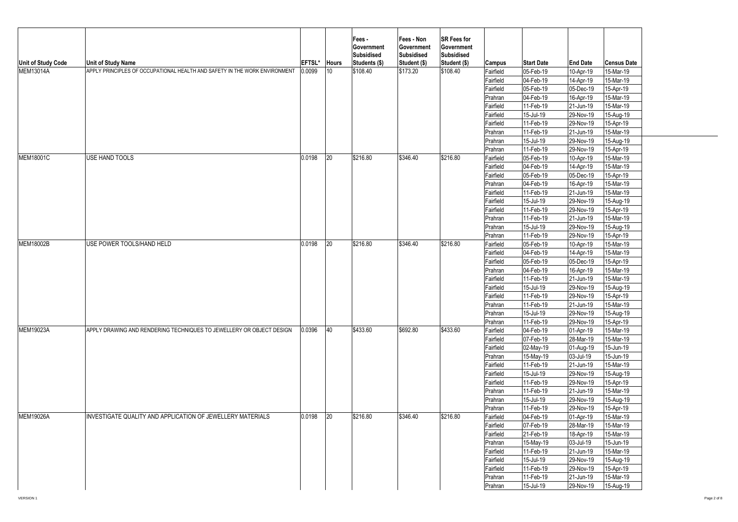| Unit of Study Code<br><b>MEM13014A</b> | <b>Unit of Study Name</b><br>APPLY PRINCIPLES OF OCCUPATIONAL HEALTH AND SAFETY IN THE WORK ENVIRONMENT | <b>EFTSL*</b><br>0.0099 | <b>Hours</b><br>10 | Fees -<br>Government<br><b>Subsidised</b><br>Students (\$)<br>\$108.40 | Fees - Non<br>Government<br>Subsidised<br>Student (\$)<br>\$173.20 | <b>SR Fees for</b><br>Government<br><b>Subsidised</b><br>Student (\$)<br>\$108.40 | Campus<br>Fairfield<br>Fairfield<br>Fairfield<br>Prahran<br>Fairfield<br>Fairfield<br>Fairfield<br>Prahran                        | <b>Start Date</b><br>05-Feb-19<br>04-Feb-19<br>05-Feb-19<br>04-Feb-19<br>11-Feb-19<br>15-Jul-19<br>11-Feb-19<br>11-Feb-19                   | <b>End Date</b><br>10-Apr-19<br>14-Apr-19<br>05-Dec-19<br>16-Apr-19<br>21-Jun-19<br>29-Nov-19<br>29-Nov-19<br>21-Jun-19                     | <b>Census Date</b><br>15-Mar-19<br>15-Mar-19<br>15-Apr-19<br>15-Mar-19<br>15-Mar-19<br>15-Aug-19<br>15-Apr-19<br>15-Mar-19                  |
|----------------------------------------|---------------------------------------------------------------------------------------------------------|-------------------------|--------------------|------------------------------------------------------------------------|--------------------------------------------------------------------|-----------------------------------------------------------------------------------|-----------------------------------------------------------------------------------------------------------------------------------|---------------------------------------------------------------------------------------------------------------------------------------------|---------------------------------------------------------------------------------------------------------------------------------------------|---------------------------------------------------------------------------------------------------------------------------------------------|
| <b>MEM18001C</b>                       | USE HAND TOOLS                                                                                          | 0.0198                  | 20                 | \$216.80                                                               | \$346.40                                                           | \$216.80                                                                          | Prahran<br>Prahran<br>Fairfield<br>Fairfield<br>Fairfield<br>Prahran                                                              | 15-Jul-19<br>11-Feb-19<br>05-Feb-19<br>04-Feb-19<br>05-Feb-19<br>04-Feb-19                                                                  | 29-Nov-19<br>29-Nov-19<br>10-Apr-19<br>14-Apr-19<br>05-Dec-19<br>16-Apr-19                                                                  | 15-Aug-19<br>15-Apr-19<br>15-Mar-19<br>15-Mar-19<br>15-Apr-19<br>15-Mar-19                                                                  |
| <b>MEM18002B</b>                       |                                                                                                         |                         |                    |                                                                        |                                                                    |                                                                                   | Fairfield<br>Fairfield<br>Fairfield<br>Prahran<br>Prahran<br>Prahran                                                              | 11-Feb-19<br>15-Jul-19<br>11-Feb-19<br>11-Feb-19<br>15-Jul-19<br>11-Feb-19                                                                  | 21-Jun-19<br>29-Nov-19<br>29-Nov-19<br>21-Jun-19<br>29-Nov-19<br>29-Nov-19                                                                  | 15-Mar-19<br>15-Aug-19<br>15-Apr-19<br>15-Mar-19<br>15-Aug-19<br>15-Apr-19                                                                  |
|                                        | USE POWER TOOLS/HAND HELD                                                                               | 0.0198                  | 20                 | \$216.80                                                               | \$346.40                                                           | \$216.80                                                                          | Fairfield<br>Fairfield<br>Fairfield<br>Prahran<br>Fairfield<br>Fairfield<br>Fairfield<br>Prahran                                  | 05-Feb-19<br>04-Feb-19<br>05-Feb-19<br>04-Feb-19<br>11-Feb-19<br>15-Jul-19<br>11-Feb-19<br>11-Feb-19                                        | 10-Apr-19<br>14-Apr-19<br>05-Dec-19<br>16-Apr-19<br>21-Jun-19<br>29-Nov-19<br>29-Nov-19<br>21-Jun-19                                        | 15-Mar-19<br>15-Mar-19<br>15-Apr-19<br>15-Mar-19<br>15-Mar-19<br>15-Aug-19<br>15-Apr-19<br>15-Mar-19                                        |
| <b>MEM19023A</b>                       | APPLY DRAWING AND RENDERING TECHNIQUES TO JEWELLERY OR OBJECT DESIGN                                    | 0.0396                  | 40                 | \$433.60                                                               | \$692.80                                                           | \$433.60                                                                          | Prahran<br>Prahran<br>Fairfield<br>Fairfield<br>Fairfield<br>Prahran<br>Fairfield<br>Fairfield<br>Fairfield<br>Prahran<br>Prahran | 15-Jul-19<br>11-Feb-19<br>04-Feb-19<br>07-Feb-19<br>02-May-19<br>15-May-19<br>11-Feb-19<br>15-Jul-19<br>11-Feb-19<br>11-Feb-19<br>15-Jul-19 | 29-Nov-19<br>29-Nov-19<br>01-Apr-19<br>28-Mar-19<br>01-Aug-19<br>03-Jul-19<br>21-Jun-19<br>29-Nov-19<br>29-Nov-19<br>21-Jun-19<br>29-Nov-19 | 15-Aug-19<br>15-Apr-19<br>15-Mar-19<br>15-Mar-19<br>15-Jun-19<br>15-Jun-19<br>15-Mar-19<br>15-Aug-19<br>15-Apr-19<br>15-Mar-19<br>15-Aug-19 |
| <b>MEM19026A</b>                       | INVESTIGATE QUALITY AND APPLICATION OF JEWELLERY MATERIALS                                              | 0.0198                  | 20                 | \$216.80                                                               | \$346.40                                                           | \$216.80                                                                          | Prahran<br>Fairfield<br>Fairfield<br>Fairfield<br>Prahran<br>Fairfield<br>Fairfield<br>Fairfield<br>Prahran<br>Prahran            | 11-Feb-19<br>04-Feb-19<br>07-Feb-19<br>21-Feb-19<br>15-May-19<br>11-Feb-19<br>15-Jul-19<br>11-Feb-19<br>11-Feb-19<br>15-Jul-19              | 29-Nov-19<br>01-Apr-19<br>28-Mar-19<br>18-Apr-19<br>03-Jul-19<br>21-Jun-19<br>29-Nov-19<br>29-Nov-19<br>21-Jun-19<br>29-Nov-19              | 15-Apr-19<br>15-Mar-19<br>15-Mar-19<br>15-Mar-19<br>15-Jun-19<br>15-Mar-19<br>15-Aug-19<br>15-Apr-19<br>15-Mar-19<br>15-Aug-19              |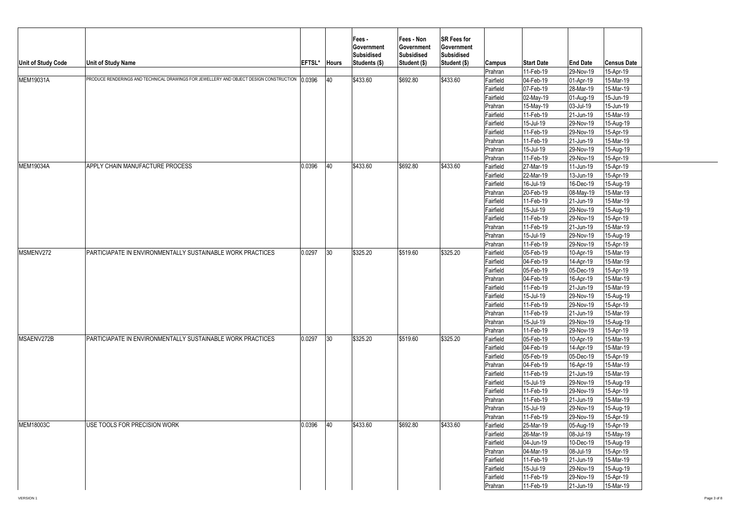| Unit of Study Code | <b>Unit of Study Name</b>                                                              | EFTSL* | <b>Hours</b> | Fees -<br>Government<br><b>Subsidised</b><br>Students (\$) | Fees - Non<br>Government<br>Subsidised<br>Student (\$) | <b>SR Fees for</b><br>Government<br><b>Subsidised</b><br>Student (\$) | Campus                 | <b>Start Date</b>                    | <b>End Date</b>        | <b>Census Date</b>     |  |
|--------------------|----------------------------------------------------------------------------------------|--------|--------------|------------------------------------------------------------|--------------------------------------------------------|-----------------------------------------------------------------------|------------------------|--------------------------------------|------------------------|------------------------|--|
|                    | PRODUCE RENDERINGS AND TECHNICAL DRAWINGS FOR JEWELLERY AND OBJECT DESIGN CONSTRUCTION |        | 40           |                                                            | \$692.80                                               |                                                                       | Prahran                | 11-Feb-19                            | 29-Nov-19              | 15-Apr-19              |  |
| MEM19031A          |                                                                                        | 0.0396 |              | \$433.60                                                   |                                                        | \$433.60                                                              | Fairfield              | 04-Feb-19                            | 01-Apr-19              | 15-Mar-19              |  |
|                    |                                                                                        |        |              |                                                            |                                                        |                                                                       | Fairfield<br>Fairfield | 07-Feb-19<br>$\overline{02}$ -May-19 | 28-Mar-19<br>01-Aug-19 | 15-Mar-19<br>15-Jun-19 |  |
|                    |                                                                                        |        |              |                                                            |                                                        |                                                                       | Prahran                | 15-May-19                            | 03-Jul-19              | 15-Jun-19              |  |
|                    |                                                                                        |        |              |                                                            |                                                        |                                                                       | Fairfield              | 11-Feb-19                            | 21-Jun-19              | 15-Mar-19              |  |
|                    |                                                                                        |        |              |                                                            |                                                        |                                                                       | Fairfield              | 15-Jul-19                            | 29-Nov-19              | 15-Aug-19              |  |
|                    |                                                                                        |        |              |                                                            |                                                        |                                                                       | Fairfield              | 11-Feb-19                            | 29-Nov-19              | 15-Apr-19              |  |
|                    |                                                                                        |        |              |                                                            |                                                        |                                                                       | Prahran                | 11-Feb-19                            | 21-Jun-19              | 15-Mar-19              |  |
|                    |                                                                                        |        |              |                                                            |                                                        |                                                                       | Prahran                | 15-Jul-19                            | 29-Nov-19              | 15-Aug-19              |  |
|                    |                                                                                        |        |              |                                                            |                                                        |                                                                       | Prahran                | 11-Feb-19                            | 29-Nov-19              | 15-Apr-19              |  |
| <b>MEM19034A</b>   | APPLY CHAIN MANUFACTURE PROCESS                                                        | 0.0396 | 40           | \$433.60                                                   | \$692.80                                               | \$433.60                                                              | Fairfield              | 27-Mar-19                            | 11-Jun-19              | 15-Apr-19              |  |
|                    |                                                                                        |        |              |                                                            |                                                        |                                                                       | Fairfield              | 22-Mar-19                            | 13-Jun-19              | 15-Apr-19              |  |
|                    |                                                                                        |        |              |                                                            |                                                        |                                                                       | Fairfield              | 16-Jul-19                            | 16-Dec-19              | 15-Aug-19              |  |
|                    |                                                                                        |        |              |                                                            |                                                        |                                                                       | Prahran                | 20-Feb-19                            | 08-May-19              | 15-Mar-19              |  |
|                    |                                                                                        |        |              |                                                            |                                                        |                                                                       | Fairfield              | 11-Feb-19                            | 21-Jun-19              | 15-Mar-19              |  |
|                    |                                                                                        |        |              |                                                            |                                                        |                                                                       | Fairfield              | 15-Jul-19                            | 29-Nov-19              | 15-Aug-19              |  |
|                    |                                                                                        |        |              |                                                            |                                                        |                                                                       | Fairfield              | 11-Feb-19                            | 29-Nov-19              | 15-Apr-19              |  |
|                    |                                                                                        |        |              |                                                            |                                                        |                                                                       | Prahran                | 11-Feb-19                            | 21-Jun-19              | 15-Mar-19              |  |
|                    |                                                                                        |        |              |                                                            |                                                        |                                                                       | Prahran                | 15-Jul-19                            | 29-Nov-19              | 15-Aug-19              |  |
|                    |                                                                                        |        |              |                                                            |                                                        |                                                                       | Prahran                | 11-Feb-19                            | 29-Nov-19              | 15-Apr-19              |  |
| MSMENV272          | PARTICIAPATE IN ENVIRONMENTALLY SUSTAINABLE WORK PRACTICES                             | 0.0297 | 30           | \$325.20                                                   | \$519.60                                               | \$325.20                                                              | Fairfield              | 05-Feb-19                            | 10-Apr-19              | 15-Mar-19              |  |
|                    |                                                                                        |        |              |                                                            |                                                        |                                                                       | Fairfield              | 04-Feb-19                            | 14-Apr-19              | 15-Mar-19              |  |
|                    |                                                                                        |        |              |                                                            |                                                        |                                                                       | Fairfield              | 05-Feb-19                            | 05-Dec-19              | 15-Apr-19              |  |
|                    |                                                                                        |        |              |                                                            |                                                        |                                                                       | Prahran                | 04-Feb-19                            | 16-Apr-19              | 15-Mar-19              |  |
|                    |                                                                                        |        |              |                                                            |                                                        |                                                                       | Fairfield              | 11-Feb-19                            | 21-Jun-19              | 15-Mar-19              |  |
|                    |                                                                                        |        |              |                                                            |                                                        |                                                                       | Fairfield              | 15-Jul-19                            | 29-Nov-19              | 15-Aug-19              |  |
|                    |                                                                                        |        |              |                                                            |                                                        |                                                                       | Fairfield              | 11-Feb-19                            | 29-Nov-19              | 15-Apr-19              |  |
|                    |                                                                                        |        |              |                                                            |                                                        |                                                                       | Prahran                | 11-Feb-19                            | 21-Jun-19              | 15-Mar-19              |  |
|                    |                                                                                        |        |              |                                                            |                                                        |                                                                       | Prahran                | 15-Jul-19                            | 29-Nov-19              | 15-Aug-19              |  |
|                    |                                                                                        |        |              |                                                            |                                                        |                                                                       | Prahran                | 11-Feb-19                            | 29-Nov-19              | 15-Apr-19              |  |
| MSAENV272B         | PARTICIAPATE IN ENVIRONMENTALLY SUSTAINABLE WORK PRACTICES                             | 0.0297 | 30           | \$325.20                                                   | \$519.60                                               | \$325.20                                                              | Fairfield              | 05-Feb-19                            | 10-Apr-19              | 15-Mar-19              |  |
|                    |                                                                                        |        |              |                                                            |                                                        |                                                                       | Fairfield              | 04-Feb-19                            | 14-Apr-19              | 15-Mar-19              |  |
|                    |                                                                                        |        |              |                                                            |                                                        |                                                                       | Fairfield              | 05-Feb-19                            | 05-Dec-19              | 15-Apr-19              |  |
|                    |                                                                                        |        |              |                                                            |                                                        |                                                                       | Prahran                | 04-Feb-19                            | 16-Apr-19              | 15-Mar-19              |  |
|                    |                                                                                        |        |              |                                                            |                                                        |                                                                       | Fairfield              | 11-Feb-19                            | 21-Jun-19              | 15-Mar-19              |  |
|                    |                                                                                        |        |              |                                                            |                                                        |                                                                       | Fairfield              | 15-Jul-19                            | 29-Nov-19              | 15-Aug-19              |  |
|                    |                                                                                        |        |              |                                                            |                                                        |                                                                       | Fairfield              | 11-Feb-19                            | 29-Nov-19              | 15-Apr-19              |  |
|                    |                                                                                        |        |              |                                                            |                                                        |                                                                       | Prahran                | 11-Feb-19                            | 21-Jun-19              | 15-Mar-19              |  |
|                    |                                                                                        |        |              |                                                            |                                                        |                                                                       | Prahran                | 15-Jul-19                            | 29-Nov-19              | 15-Aug-19              |  |
|                    |                                                                                        |        |              |                                                            |                                                        |                                                                       | Prahran                | 11-Feb-19                            | 29-Nov-19              | 15-Apr-19              |  |
| <b>MEM18003C</b>   | USE TOOLS FOR PRECISION WORK                                                           | 0.0396 | 40           | \$433.60                                                   | \$692.80                                               | \$433.60                                                              | Fairfield              | 25-Mar-19                            | 05-Aug-19              | 15-Apr-19              |  |
|                    |                                                                                        |        |              |                                                            |                                                        |                                                                       | Fairfield              | 26-Mar-19                            | 08-Jul-19              | 15-May-19              |  |
|                    |                                                                                        |        |              |                                                            |                                                        |                                                                       | Fairfield              | 04-Jun-19                            | 10-Dec-19              | 15-Aug-19              |  |
|                    |                                                                                        |        |              |                                                            |                                                        |                                                                       | Prahran                | 04-Mar-19                            | 08-Jul-19              | 15-Apr-19              |  |
|                    |                                                                                        |        |              |                                                            |                                                        |                                                                       | Fairfield              | 11-Feb-19                            | 21-Jun-19              | 15-Mar-19              |  |
|                    |                                                                                        |        |              |                                                            |                                                        |                                                                       | Fairfield              | 15-Jul-19                            | 29-Nov-19              | 15-Aug-19              |  |
|                    |                                                                                        |        |              |                                                            |                                                        |                                                                       | Fairfield              | 11-Feb-19                            | 29-Nov-19              | 15-Apr-19              |  |
|                    |                                                                                        |        |              |                                                            |                                                        |                                                                       | Prahran                | 11-Feb-19                            | 21-Jun-19              | 15-Mar-19              |  |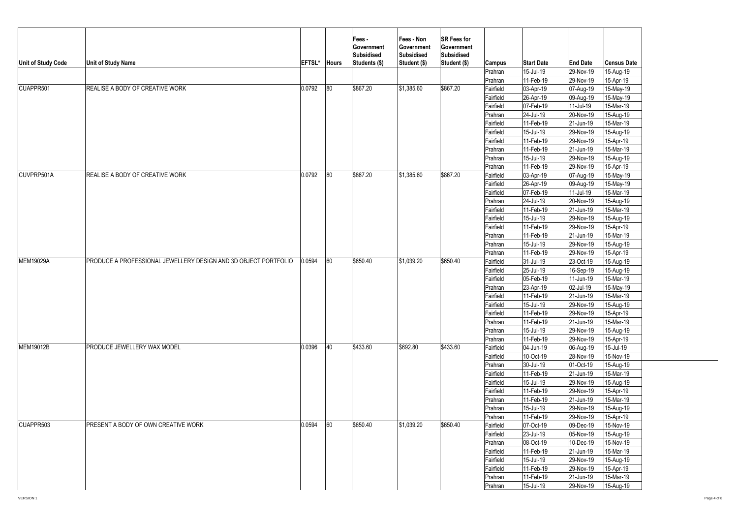| Unit of Study Code | <b>Unit of Study Name</b>                                       | EFTSL* | <b>Hours</b> | Fees -<br>Government<br><b>Subsidised</b><br>Students (\$) | Fees - Non<br>Government<br>Subsidised<br>Student (\$) | <b>SR Fees for</b><br>Government<br><b>Subsidised</b><br>Student (\$) | <b>Campus</b> | <b>Start Date</b> | <b>End Date</b>        | <b>Census Date</b> |
|--------------------|-----------------------------------------------------------------|--------|--------------|------------------------------------------------------------|--------------------------------------------------------|-----------------------------------------------------------------------|---------------|-------------------|------------------------|--------------------|
|                    |                                                                 |        |              |                                                            |                                                        |                                                                       | Prahran       | 15-Jul-19         | 29-Nov-19              | 15-Aug-19          |
|                    |                                                                 |        |              |                                                            |                                                        |                                                                       | Prahran       | 11-Feb-19         | 29-Nov-19              | 15-Apr-19          |
| CUAPPR501          | REALISE A BODY OF CREATIVE WORK                                 | 0.0792 | 80           | \$867.20                                                   | \$1,385.60                                             | \$867.20                                                              | Fairfield     | 03-Apr-19         | 07-Aug-19              | 15-May-19          |
|                    |                                                                 |        |              |                                                            |                                                        |                                                                       | Fairfield     | 26-Apr-19         | 09-Aug-19              | 15-May-19          |
|                    |                                                                 |        |              |                                                            |                                                        |                                                                       | Fairfield     | 07-Feb-19         | 11-Jul-19              | 15-Mar-19          |
|                    |                                                                 |        |              |                                                            |                                                        |                                                                       | Prahran       | 24-Jul-19         | 20-Nov-19              | 15-Aug-19          |
|                    |                                                                 |        |              |                                                            |                                                        |                                                                       | Fairfield     | 11-Feb-19         | 21-Jun-19              | 15-Mar-19          |
|                    |                                                                 |        |              |                                                            |                                                        |                                                                       | Fairfield     | 15-Jul-19         | 29-Nov-19              | 15-Aug-19          |
|                    |                                                                 |        |              |                                                            |                                                        |                                                                       | Fairfield     | 11-Feb-19         | 29-Nov-19              | 15-Apr-19          |
|                    |                                                                 |        |              |                                                            |                                                        |                                                                       | Prahran       | 11-Feb-19         | 21-Jun-19              | 15-Mar-19          |
|                    |                                                                 |        |              |                                                            |                                                        |                                                                       | Prahran       | 15-Jul-19         | 29-Nov-19              | 15-Aug-19          |
|                    |                                                                 |        |              |                                                            |                                                        |                                                                       | Prahran       | 11-Feb-19         | 29-Nov-19              | 15-Apr-19          |
| CUVPRP501A         | <b>REALISE A BODY OF CREATIVE WORK</b>                          | 0.0792 | 80           | \$867.20                                                   | \$1,385.60                                             | \$867.20                                                              | Fairfield     | 03-Apr-19         | 07-Aug-19              | 15-May-19          |
|                    |                                                                 |        |              |                                                            |                                                        |                                                                       | Fairfield     | 26-Apr-19         | 09-Aug-19              | 15-May-19          |
|                    |                                                                 |        |              |                                                            |                                                        |                                                                       | Fairfield     | 07-Feb-19         | 11-Jul-19              | 15-Mar-19          |
|                    |                                                                 |        |              |                                                            |                                                        |                                                                       | Prahran       | 24-Jul-19         | 20-Nov-19              | 15-Aug-19          |
|                    |                                                                 |        |              |                                                            |                                                        |                                                                       | Fairfield     | 11-Feb-19         | 21-Jun-19              | 15-Mar-19          |
|                    |                                                                 |        |              |                                                            |                                                        |                                                                       | Fairfield     | 15-Jul-19         | 29-Nov-19              | 15-Aug-19          |
|                    |                                                                 |        |              |                                                            |                                                        |                                                                       | Fairfield     | 11-Feb-19         | 29-Nov-19              | 15-Apr-19          |
|                    |                                                                 |        |              |                                                            |                                                        |                                                                       | Prahran       | 11-Feb-19         | 21-Jun-19              | 15-Mar-19          |
|                    |                                                                 |        |              |                                                            |                                                        |                                                                       | Prahran       | 15-Jul-19         | 29-Nov-19              | 15-Aug-19          |
|                    |                                                                 |        |              |                                                            |                                                        |                                                                       | Prahran       | 11-Feb-19         | 29-Nov-19              | 15-Apr-19          |
| MEM19029A          | PRODUCE A PROFESSIONAL JEWELLERY DESIGN AND 3D OBJECT PORTFOLIO | 0.0594 | 60           | \$650.40                                                   | \$1,039.20                                             | \$650.40                                                              | Fairfield     | 31-Jul-19         | 23-Oct-19              | 15-Aug-19          |
|                    |                                                                 |        |              |                                                            |                                                        |                                                                       | Fairfield     | 25-Jul-19         | 16-Sep-19              | 15-Aug-19          |
|                    |                                                                 |        |              |                                                            |                                                        |                                                                       | Fairfield     | 05-Feb-19         | 11-Jun-19              | 15-Mar-19          |
|                    |                                                                 |        |              |                                                            |                                                        |                                                                       | Prahran       | 23-Apr-19         | 02-Jul-19              | 15-May-19          |
|                    |                                                                 |        |              |                                                            |                                                        |                                                                       | Fairfield     | 11-Feb-19         | 21-Jun-19              | 15-Mar-19          |
|                    |                                                                 |        |              |                                                            |                                                        |                                                                       | Fairfield     | 15-Jul-19         | 29-Nov-19              | 15-Aug-19          |
|                    |                                                                 |        |              |                                                            |                                                        |                                                                       | Fairfield     | 11-Feb-19         | 29-Nov-19              | 15-Apr-19          |
|                    |                                                                 |        |              |                                                            |                                                        |                                                                       | Prahran       | 11-Feb-19         | 21-Jun-19              | 15-Mar-19          |
|                    |                                                                 |        |              |                                                            |                                                        |                                                                       | Prahran       | 15-Jul-19         | 29-Nov-19              | 15-Aug-19          |
|                    |                                                                 |        |              |                                                            |                                                        |                                                                       | Prahran       | 11-Feb-19         | 29-Nov-19              | 15-Apr-19          |
| MEM19012B          | PRODUCE JEWELLERY WAX MODEL                                     | 0.0396 | 40           | \$433.60                                                   | \$692.80                                               | \$433.60                                                              | Fairfield     | 04-Jun-19         |                        | 15-Jul-19          |
|                    |                                                                 |        |              |                                                            |                                                        |                                                                       | Fairfield     | 10-Oct-19         | 06-Aug-19<br>28-Nov-19 | $15-Nov-19$        |
|                    |                                                                 |        |              |                                                            |                                                        |                                                                       | Prahran       | 30-Jul-19         | 01-Oct-19              | 15-Aug-19          |
|                    |                                                                 |        |              |                                                            |                                                        |                                                                       |               | 11-Feb-19         | 21-Jun-19              | 15-Mar-19          |
|                    |                                                                 |        |              |                                                            |                                                        |                                                                       | Fairfield     |                   |                        |                    |
|                    |                                                                 |        |              |                                                            |                                                        |                                                                       | Fairfield     | 15-Jul-19         | 29-Nov-19              | 15-Aug-19          |
|                    |                                                                 |        |              |                                                            |                                                        |                                                                       | Fairfield     | 11-Feb-19         | 29-Nov-19              | 15-Apr-19          |
|                    |                                                                 |        |              |                                                            |                                                        |                                                                       | Prahran       | 11-Feb-19         | 21-Jun-19              | 15-Mar-19          |
|                    |                                                                 |        |              |                                                            |                                                        |                                                                       | Prahran       | 15-Jul-19         | 29-Nov-19              | 15-Aug-19          |
|                    |                                                                 |        |              |                                                            |                                                        |                                                                       | Prahran       | 11-Feb-19         | 29-Nov-19              | 15-Apr-19          |
| CUAPPR503          | PRESENT A BODY OF OWN CREATIVE WORK                             | 0.0594 | 60           | \$650.40                                                   | \$1,039.20                                             | \$650.40                                                              | Fairfield     | 07-Oct-19         | 09-Dec-19              | 15-Nov-19          |
|                    |                                                                 |        |              |                                                            |                                                        |                                                                       | Fairfield     | 23-Jul-19         | 05-Nov-19              | 15-Aug-19          |
|                    |                                                                 |        |              |                                                            |                                                        |                                                                       | Prahran       | 08-Oct-19         | 10-Dec-19              | 15-Nov-19          |
|                    |                                                                 |        |              |                                                            |                                                        |                                                                       | Fairfield     | 11-Feb-19         | 21-Jun-19              | 15-Mar-19          |
|                    |                                                                 |        |              |                                                            |                                                        |                                                                       | Fairfield     | 15-Jul-19         | 29-Nov-19              | 15-Aug-19          |
|                    |                                                                 |        |              |                                                            |                                                        |                                                                       | Fairfield     | 11-Feb-19         | 29-Nov-19              | 15-Apr-19          |
|                    |                                                                 |        |              |                                                            |                                                        |                                                                       | Prahran       | 11-Feb-19         | 21-Jun-19              | 15-Mar-19          |
|                    |                                                                 |        |              |                                                            |                                                        |                                                                       | Prahran       | 15-Jul-19         | 29-Nov-19              | 15-Aug-19          |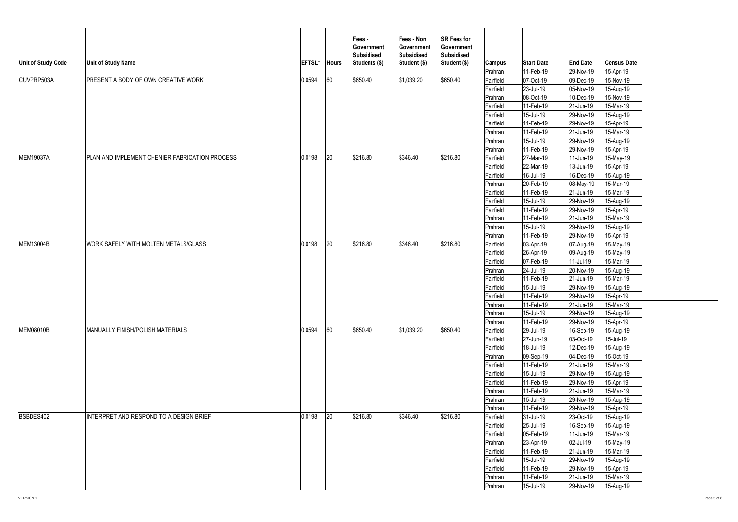| Unit of Study Code | <b>Unit of Study Name</b>                      | EFTSL* Hours |              | Fees -<br>Government<br><b>Subsidised</b><br>Students (\$) | Fees - Non<br>Government<br>Subsidised<br>Student (\$) | <b>SR Fees for</b><br>Government<br><b>Subsidised</b><br>Student (\$) | Campus               | <b>Start Date</b>      | <b>End Date</b>        | <b>Census Date</b>     |
|--------------------|------------------------------------------------|--------------|--------------|------------------------------------------------------------|--------------------------------------------------------|-----------------------------------------------------------------------|----------------------|------------------------|------------------------|------------------------|
|                    |                                                |              |              |                                                            |                                                        |                                                                       | Prahran              | 11-Feb-19              | 29-Nov-19              | 15-Apr-19              |
| CUVPRP503A         | PRESENT A BODY OF OWN CREATIVE WORK            | 0.0594       | 60           | \$650.40                                                   | \$1,039.20                                             | \$650.40                                                              | Fairfield            | 07-Oct-19              | 09-Dec-19              | 15-Nov-19              |
|                    |                                                |              |              |                                                            |                                                        |                                                                       | Fairfield            | 23-Jul-19              | 05-Nov-19              | 15-Aug-19              |
|                    |                                                |              |              |                                                            |                                                        |                                                                       | Prahran              | 08-Oct-19              | 10-Dec-19              | $15-Nov-19$            |
|                    |                                                |              |              |                                                            |                                                        |                                                                       | Fairfield            | 11-Feb-19              | 21-Jun-19<br>29-Nov-19 | 15-Mar-19              |
|                    |                                                |              |              |                                                            |                                                        |                                                                       | Fairfield            | 15-Jul-19              |                        | 15-Aug-19<br>15-Apr-19 |
|                    |                                                |              |              |                                                            |                                                        |                                                                       | Fairfield            | 11-Feb-19<br>11-Feb-19 | 29-Nov-19<br>21-Jun-19 | 15-Mar-19              |
|                    |                                                |              |              |                                                            |                                                        |                                                                       | Prahran              |                        | 29-Nov-19              | 15-Aug-19              |
|                    |                                                |              |              |                                                            |                                                        |                                                                       | Prahran<br>Prahran   | 15-Jul-19<br>11-Feb-19 | 29-Nov-19              | 15-Apr-19              |
| <b>MEM19037A</b>   | PLAN AND IMPLEMENT CHENIER FABRICATION PROCESS | 0.0198       | 20           | \$216.80                                                   | \$346.40                                               | \$216.80                                                              | Fairfield            | 27-Mar-19              | 11-Jun-19              | 15-May-19              |
|                    |                                                |              |              |                                                            |                                                        |                                                                       | Fairfield            | 22-Mar-19              | 13-Jun-19              | 15-Apr-19              |
|                    |                                                |              |              |                                                            |                                                        |                                                                       | Fairfield            | 16-Jul-19              | 16-Dec-19              |                        |
|                    |                                                |              |              |                                                            |                                                        |                                                                       |                      | 20-Feb-19              | 08-May-19              | 15-Aug-19<br>15-Mar-19 |
|                    |                                                |              |              |                                                            |                                                        |                                                                       | Prahran<br>Fairfield | 11-Feb-19              | 21-Jun-19              | 15-Mar-19              |
|                    |                                                |              |              |                                                            |                                                        |                                                                       | Fairfield            | 15-Jul-19              | 29-Nov-19              | 15-Aug-19              |
|                    |                                                |              |              |                                                            |                                                        |                                                                       | Fairfield            | 11-Feb-19              | 29-Nov-19              | 15-Apr-19              |
|                    |                                                |              |              |                                                            |                                                        |                                                                       | Prahran              | 11-Feb-19              | 21-Jun-19              | 15-Mar-19              |
|                    |                                                |              |              |                                                            |                                                        |                                                                       | Prahran              | 15-Jul-19              | 29-Nov-19              | 15-Aug-19              |
|                    |                                                |              |              |                                                            |                                                        |                                                                       | Prahran              | 11-Feb-19              | 29-Nov-19              | 15-Apr-19              |
| MEM13004B          | WORK SAFELY WITH MOLTEN METALS/GLASS           | 0.0198       | $ 20\rangle$ | \$216.80                                                   | \$346.40                                               | \$216.80                                                              | Fairfield            | 03-Apr-19              | 07-Aug-19              | 15-May-19              |
|                    |                                                |              |              |                                                            |                                                        |                                                                       | Fairfield            | 26-Apr-19              | 09-Aug-19              | 15-May-19              |
|                    |                                                |              |              |                                                            |                                                        |                                                                       | Fairfield            | 07-Feb-19              | 11-Jul-19              | 15-Mar-19              |
|                    |                                                |              |              |                                                            |                                                        |                                                                       | Prahran              | 24-Jul-19              | 20-Nov-19              | 15-Aug-19              |
|                    |                                                |              |              |                                                            |                                                        |                                                                       | Fairfield            | 11-Feb-19              | 21-Jun-19              | 15-Mar-19              |
|                    |                                                |              |              |                                                            |                                                        |                                                                       | Fairfield            | 15-Jul-19              | 29-Nov-19              | 15-Aug-19              |
|                    |                                                |              |              |                                                            |                                                        |                                                                       | Fairfield            | 11-Feb-19              | 29-Nov-19              | 15-Apr-19              |
|                    |                                                |              |              |                                                            |                                                        |                                                                       | Prahran              | 11-Feb-19              | 21-Jun-19              | 15-Mar-19              |
|                    |                                                |              |              |                                                            |                                                        |                                                                       | Prahran              | 15-Jul-19              | 29-Nov-19              | 15-Aug-19              |
|                    |                                                |              |              |                                                            |                                                        |                                                                       | Prahran              | 11-Feb-19              | 29-Nov-19              | 15-Apr-19              |
| MEM08010B          | MANUALLY FINISH/POLISH MATERIALS               | 0.0594       | 60           | \$650.40                                                   | \$1,039.20                                             | \$650.40                                                              | Fairfield            | 29-Jul-19              | 16-Sep-19              | 15-Aug-19              |
|                    |                                                |              |              |                                                            |                                                        |                                                                       | Fairfield            | 27-Jun-19              | 03-Oct-19              | 15-Jul-19              |
|                    |                                                |              |              |                                                            |                                                        |                                                                       | Fairfield            | 18-Jul-19              | 12-Dec-19              | 15-Aug-19              |
|                    |                                                |              |              |                                                            |                                                        |                                                                       | Prahran              | 09-Sep-19              | 04-Dec-19              | 15-Oct-19              |
|                    |                                                |              |              |                                                            |                                                        |                                                                       | Fairfield            | 11-Feb-19              | 21-Jun-19              | 15-Mar-19              |
|                    |                                                |              |              |                                                            |                                                        |                                                                       | Fairfield            | 15-Jul-19              | 29-Nov-19              | 15-Aug-19              |
|                    |                                                |              |              |                                                            |                                                        |                                                                       | Fairfield            | 11-Feb-19              | 29-Nov-19              | 15-Apr-19              |
|                    |                                                |              |              |                                                            |                                                        |                                                                       | Prahran              | 11-Feb-19              | 21-Jun-19              | 15-Mar-19              |
|                    |                                                |              |              |                                                            |                                                        |                                                                       | Prahran              | 15-Jul-19              | 29-Nov-19              | 15-Aug-19              |
|                    |                                                |              |              |                                                            |                                                        |                                                                       | Prahran              | 11-Feb-19              | 29-Nov-19              | 15-Apr-19              |
| BSBDES402          | INTERPRET AND RESPOND TO A DESIGN BRIEF        | 0.0198       | $ 20\rangle$ | \$216.80                                                   | \$346.40                                               | \$216.80                                                              | Fairfield            | 31-Jul-19              | 23-Oct-19              | 15-Aug-19              |
|                    |                                                |              |              |                                                            |                                                        |                                                                       | Fairfield            | 25-Jul-19              | 16-Sep-19              | 15-Aug-19              |
|                    |                                                |              |              |                                                            |                                                        |                                                                       | Fairfield            | 05-Feb-19              | 11-Jun-19              | 15-Mar-19              |
|                    |                                                |              |              |                                                            |                                                        |                                                                       | Prahran              | 23-Apr-19              | 02-Jul-19              | 15-May-19              |
|                    |                                                |              |              |                                                            |                                                        |                                                                       | Fairfield            | 11-Feb-19              | 21-Jun-19              | 15-Mar-19              |
|                    |                                                |              |              |                                                            |                                                        |                                                                       | Fairfield            | 15-Jul-19              | 29-Nov-19              | 15-Aug-19              |
|                    |                                                |              |              |                                                            |                                                        |                                                                       | Fairfield            | 11-Feb-19              | 29-Nov-19              | $15 - Apr - 19$        |
|                    |                                                |              |              |                                                            |                                                        |                                                                       | Prahran              | 11-Feb-19              | 21-Jun-19              | 15-Mar-19              |
|                    |                                                |              |              |                                                            |                                                        |                                                                       | Prahran              | 15-Jul-19              | 29-Nov-19              | 15-Aug-19              |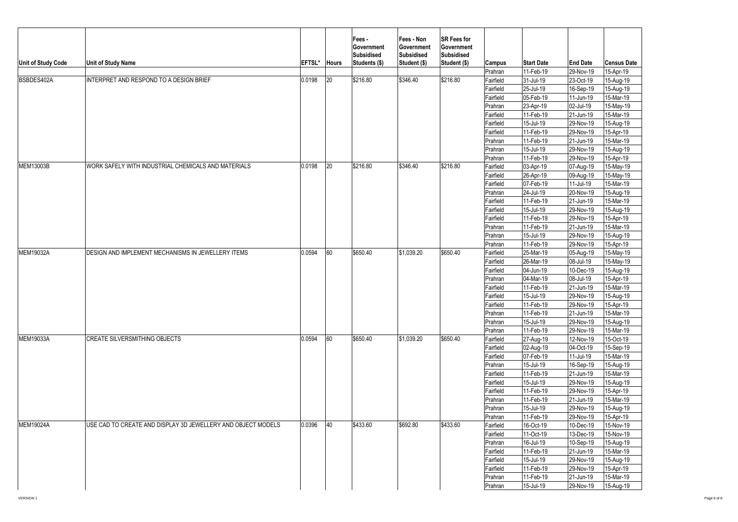| Unit of Study Code | <b>Unit of Study Name</b>                                    | EFTSL* | <b>Hours</b> | Fees -<br>Government<br>Subsidised<br>Students (\$) | Fees - Non<br>Government<br><b>Subsidised</b><br>Student (\$) | <b>SR Fees for</b><br>Government<br><b>Subsidised</b><br>Student (\$) | Campus<br>Prahran | <b>Start Date</b><br>11-Feb-19 | <b>End Date</b><br>29-Nov-19 | <b>Census Date</b><br>15-Apr-19 |
|--------------------|--------------------------------------------------------------|--------|--------------|-----------------------------------------------------|---------------------------------------------------------------|-----------------------------------------------------------------------|-------------------|--------------------------------|------------------------------|---------------------------------|
| BSBDES402A         | INTERPRET AND RESPOND TO A DESIGN BRIEF                      | 0.0198 | 20           | \$216.80                                            | \$346.40                                                      | \$216.80                                                              | Fairfield         | 31-Jul-19                      | 23-Oct-19                    | 15-Aug-19                       |
|                    |                                                              |        |              |                                                     |                                                               |                                                                       | Fairfield         | 25-Jul-19                      | 16-Sep-19                    | 15-Aug-19                       |
|                    |                                                              |        |              |                                                     |                                                               |                                                                       | Fairfield         | 05-Feb-19                      | 11-Jun-19                    | 15-Mar-19                       |
|                    |                                                              |        |              |                                                     |                                                               |                                                                       | Prahran           | 23-Apr-19                      | 02-Jul-19                    | 15-May-19                       |
|                    |                                                              |        |              |                                                     |                                                               |                                                                       | Fairfield         | 11-Feb-19                      | 21-Jun-19                    | 15-Mar-19                       |
|                    |                                                              |        |              |                                                     |                                                               |                                                                       | Fairfield         | 15-Jul-19                      | 29-Nov-19                    | 15-Aug-19                       |
|                    |                                                              |        |              |                                                     |                                                               |                                                                       | Fairfield         | 11-Feb-19                      | 29-Nov-19                    | $15 - Apr - 19$                 |
|                    |                                                              |        |              |                                                     |                                                               |                                                                       | Prahran           | 11-Feb-19                      | 21-Jun-19                    | 15-Mar-19                       |
|                    |                                                              |        |              |                                                     |                                                               |                                                                       | Prahran           | 15-Jul-19                      | 29-Nov-19                    | 15-Aug-19                       |
|                    |                                                              |        |              |                                                     |                                                               |                                                                       | Prahran           | 11-Feb-19                      | 29-Nov-19                    | 15-Apr-19                       |
| MEM13003B          | WORK SAFELY WITH INDUSTRIAL CHEMICALS AND MATERIALS          | 0.0198 | 20           | \$216.80                                            | \$346.40                                                      | \$216.80                                                              | Fairfield         | 03-Apr-19                      | 07-Aug-19                    | 15-May-19                       |
|                    |                                                              |        |              |                                                     |                                                               |                                                                       | Fairfield         | 26-Apr-19                      | 09-Aug-19                    | 15-May-19                       |
|                    |                                                              |        |              |                                                     |                                                               |                                                                       | Fairfield         | 07-Feb-19                      | 11-Jul-19                    | 15-Mar-19                       |
|                    |                                                              |        |              |                                                     |                                                               |                                                                       | Prahran           | 24-Jul-19                      | 20-Nov-19                    | 15-Aug-19                       |
|                    |                                                              |        |              |                                                     |                                                               |                                                                       | Fairfield         | 11-Feb-19                      | 21-Jun-19                    | 15-Mar-19                       |
|                    |                                                              |        |              |                                                     |                                                               |                                                                       | Fairfield         | 15-Jul-19                      | 29-Nov-19                    | 15-Aug-19                       |
|                    |                                                              |        |              |                                                     |                                                               |                                                                       | Fairfield         | 11-Feb-19                      | 29-Nov-19                    | 15-Apr-19                       |
|                    |                                                              |        |              |                                                     |                                                               |                                                                       | Prahran           | 11-Feb-19                      | 21-Jun-19                    | 15-Mar-19                       |
|                    |                                                              |        |              |                                                     |                                                               |                                                                       | Prahran           | 15-Jul-19                      | 29-Nov-19                    | 15-Aug-19                       |
|                    |                                                              |        |              |                                                     |                                                               |                                                                       | Prahran           | 11-Feb-19                      | 29-Nov-19                    | 15-Apr-19                       |
| MEM19032A          | DESIGN AND IMPLEMENT MECHANISMS IN JEWELLERY ITEMS           | 0.0594 | 60           | \$650.40                                            | \$1,039.20                                                    | \$650.40                                                              | Fairfield         | 25-Mar-19                      | 05-Aug-19                    | 15-May-19                       |
|                    |                                                              |        |              |                                                     |                                                               |                                                                       | Fairfield         | 26-Mar-19                      | 08-Jul-19                    | 15-May-19                       |
|                    |                                                              |        |              |                                                     |                                                               |                                                                       | Fairfield         | 04-Jun-19                      | 10-Dec-19                    | 15-Aug-19                       |
|                    |                                                              |        |              |                                                     |                                                               |                                                                       | Prahran           | 04-Mar-19                      | 08-Jul-19                    | 15-Apr-19                       |
|                    |                                                              |        |              |                                                     |                                                               |                                                                       | Fairfield         | 11-Feb-19                      | 21-Jun-19                    | 15-Mar-19                       |
|                    |                                                              |        |              |                                                     |                                                               |                                                                       | Fairfield         | 15-Jul-19                      | 29-Nov-19                    | 15-Aug-19                       |
|                    |                                                              |        |              |                                                     |                                                               |                                                                       | Fairfield         | 11-Feb-19                      | 29-Nov-19                    | 15-Apr-19                       |
|                    |                                                              |        |              |                                                     |                                                               |                                                                       | Prahran           | 11-Feb-19                      | 21-Jun-19                    | 15-Mar-19                       |
|                    |                                                              |        |              |                                                     |                                                               |                                                                       | Prahran           | 15-Jul-19                      | 29-Nov-19                    | 15-Aug-19                       |
|                    |                                                              |        |              |                                                     |                                                               |                                                                       | Prahran           | 11-Feb-19                      | 29-Nov-19                    | 15-Mar-19                       |
| <b>MEM19033A</b>   | <b>CREATE SILVERSMITHING OBJECTS</b>                         | 0.0594 | 60           | \$650.40                                            | \$1,039.20                                                    | \$650.40                                                              | Fairfield         | 27-Aug-19                      | 12-Nov-19                    | 15-Oct-19                       |
|                    |                                                              |        |              |                                                     |                                                               |                                                                       | Fairfield         | 02-Aug-19                      | 04-Oct-19                    | 15-Sep-19                       |
|                    |                                                              |        |              |                                                     |                                                               |                                                                       | Fairfield         | 07-Feb-19                      | 11-Jul-19                    | 15-Mar-19                       |
|                    |                                                              |        |              |                                                     |                                                               |                                                                       | Prahran           | 15-Jul-19                      | 16-Sep-19                    | 15-Aug-19                       |
|                    |                                                              |        |              |                                                     |                                                               |                                                                       | Fairfield         | 11-Feb-19                      | 21-Jun-19                    | 15-Mar-19                       |
|                    |                                                              |        |              |                                                     |                                                               |                                                                       | Fairfield         | 15-Jul-19                      | 29-Nov-19                    | 15-Aug-19                       |
|                    |                                                              |        |              |                                                     |                                                               |                                                                       | Fairfield         | 11-Feb-19                      | 29-Nov-19                    | 15-Apr-19                       |
|                    |                                                              |        |              |                                                     |                                                               |                                                                       | Prahran           | 11-Feb-19                      | 21-Jun-19                    | 15-Mar-19                       |
|                    |                                                              |        |              |                                                     |                                                               |                                                                       | Prahran           | 15-Jul-19                      | 29-Nov-19                    | 15-Aug-19                       |
|                    |                                                              |        |              |                                                     |                                                               |                                                                       | Prahran           | 11-Feb-19                      | 29-Nov-19                    | 15-Apr-19                       |
| <b>MEM19024A</b>   | USE CAD TO CREATE AND DISPLAY 3D JEWELLERY AND OBJECT MODELS | 0.0396 | 40           | \$433.60                                            | \$692.80                                                      | \$433.60                                                              | Fairfield         | 16-Oct-19                      | 10-Dec-19                    | 15-Nov-19                       |
|                    |                                                              |        |              |                                                     |                                                               |                                                                       | Fairfield         | 11-Oct-19                      | 13-Dec-19                    | 15-Nov-19                       |
|                    |                                                              |        |              |                                                     |                                                               |                                                                       | Prahran           | 16-Jul-19                      | 10-Sep-19                    | 15-Aug-19                       |
|                    |                                                              |        |              |                                                     |                                                               |                                                                       | Fairfield         | 11-Feb-19                      | 21-Jun-19                    | 15-Mar-19                       |
|                    |                                                              |        |              |                                                     |                                                               |                                                                       | Fairfield         | 15-Jul-19                      | 29-Nov-19                    | 15-Aug-19                       |
|                    |                                                              |        |              |                                                     |                                                               |                                                                       | Fairfield         | 11-Feb-19                      | 29-Nov-19                    | 15-Apr-19                       |
|                    |                                                              |        |              |                                                     |                                                               |                                                                       | Prahran           | 11-Feb-19                      | 21-Jun-19                    | 15-Mar-19                       |
|                    |                                                              |        |              |                                                     |                                                               |                                                                       |                   | 15-Jul-19                      |                              |                                 |
|                    |                                                              |        |              |                                                     |                                                               |                                                                       | Prahran           |                                | 29-Nov-19                    | 15-Aug-19                       |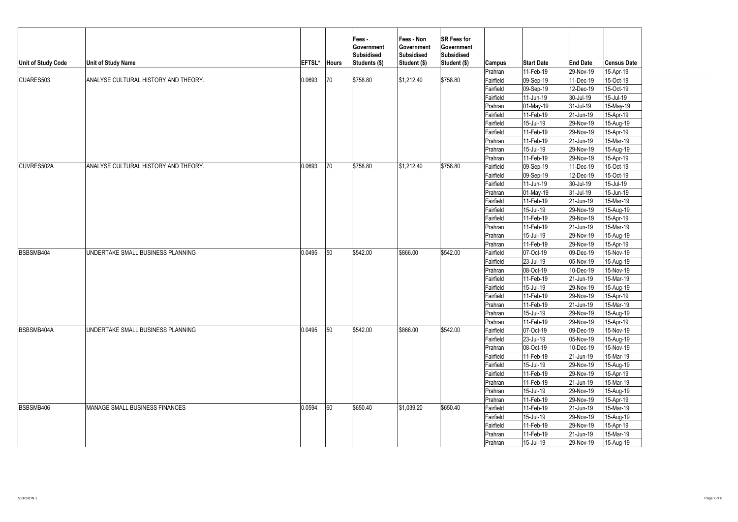|                           |                                      |        |              | Fees -<br>Government<br><b>Subsidised</b> | Fees - Non<br>Government<br>Subsidised | <b>SR Fees for</b><br>Government<br><b>Subsidised</b> |           |                   |                 |                    |  |
|---------------------------|--------------------------------------|--------|--------------|-------------------------------------------|----------------------------------------|-------------------------------------------------------|-----------|-------------------|-----------------|--------------------|--|
| <b>Unit of Study Code</b> | Unit of Study Name                   | EFTSL* | <b>Hours</b> | Students (\$)                             | Student (\$)                           | Student (\$)                                          | Campus    | <b>Start Date</b> | <b>End Date</b> | <b>Census Date</b> |  |
|                           |                                      |        |              |                                           |                                        |                                                       | Prahran   | 11-Feb-19         | 29-Nov-19       | 15-Apr-19          |  |
| CUARES503                 | ANALYSE CULTURAL HISTORY AND THEORY. | 0.0693 | 70           | \$758.80                                  | \$1,212.40                             | \$758.80                                              | Fairfield | 09-Sep-19         | 11-Dec-19       | 15-Oct-19          |  |
|                           |                                      |        |              |                                           |                                        |                                                       | Fairfield | 09-Sep-19         | 12-Dec-19       | 15-Oct-19          |  |
|                           |                                      |        |              |                                           |                                        |                                                       | Fairfield | 11-Jun-19         | 30-Jul-19       | 15-Jul-19          |  |
|                           |                                      |        |              |                                           |                                        |                                                       | Prahran   | 01-May-19         | 31-Jul-19       | 15-May-19          |  |
|                           |                                      |        |              |                                           |                                        |                                                       | Fairfield | 11-Feb-19         | 21-Jun-19       | 15-Apr-19          |  |
|                           |                                      |        |              |                                           |                                        |                                                       | Fairfield | 15-Jul-19         | 29-Nov-19       | 15-Aug-19          |  |
|                           |                                      |        |              |                                           |                                        |                                                       | Fairfield | 11-Feb-19         | 29-Nov-19       | 15-Apr-19          |  |
|                           |                                      |        |              |                                           |                                        |                                                       | Prahran   | 11-Feb-19         | 21-Jun-19       | 15-Mar-19          |  |
|                           |                                      |        |              |                                           |                                        |                                                       | Prahran   | 15-Jul-19         | 29-Nov-19       | 15-Aug-19          |  |
|                           |                                      |        |              |                                           |                                        |                                                       | Prahran   | 11-Feb-19         | 29-Nov-19       | 15-Apr-19          |  |
| CUVRES502A                | ANALYSE CULTURAL HISTORY AND THEORY. | 0.0693 | 70           | \$758.80                                  | \$1.212.40                             | \$758.80                                              | Fairfield | 09-Sep-19         | 11-Dec-19       | 15-Oct-19          |  |
|                           |                                      |        |              |                                           |                                        |                                                       | Fairfield | 09-Sep-19         | 12-Dec-19       | 15-Oct-19          |  |
|                           |                                      |        |              |                                           |                                        |                                                       | Fairfield | 11-Jun-19         | 30-Jul-19       | 15-Jul-19          |  |
|                           |                                      |        |              |                                           |                                        |                                                       | Prahran   | 01-May-19         | 31-Jul-19       | 15-Jun-19          |  |
|                           |                                      |        |              |                                           |                                        |                                                       | Fairfield | 11-Feb-19         | 21-Jun-19       | 15-Mar-19          |  |
|                           |                                      |        |              |                                           |                                        |                                                       | Fairfield | 15-Jul-19         | 29-Nov-19       | 15-Aug-19          |  |
|                           |                                      |        |              |                                           |                                        |                                                       | Fairfield | 11-Feb-19         | 29-Nov-19       | 15-Apr-19          |  |
|                           |                                      |        |              |                                           |                                        |                                                       | Prahran   | 11-Feb-19         | 21-Jun-19       | 15-Mar-19          |  |
|                           |                                      |        |              |                                           |                                        |                                                       | Prahran   | 15-Jul-19         | 29-Nov-19       | 15-Aug-19          |  |
|                           |                                      |        |              |                                           |                                        |                                                       | Prahran   | 11-Feb-19         | 29-Nov-19       | 15-Apr-19          |  |
| BSBSMB404                 | UNDERTAKE SMALL BUSINESS PLANNING    | 0.0495 | 50           | \$542.00                                  | \$866.00                               | \$542.00                                              | Fairfield | 07-Oct-19         | 09-Dec-19       | 15-Nov-19          |  |
|                           |                                      |        |              |                                           |                                        |                                                       | Fairfield | 23-Jul-19         | 05-Nov-19       | 15-Aug-19          |  |
|                           |                                      |        |              |                                           |                                        |                                                       | Prahran   | 08-Oct-19         | 10-Dec-19       | 15-Nov-19          |  |
|                           |                                      |        |              |                                           |                                        |                                                       | Fairfield | 11-Feb-19         | 21-Jun-19       | 15-Mar-19          |  |
|                           |                                      |        |              |                                           |                                        |                                                       | Fairfield | 15-Jul-19         | 29-Nov-19       | 15-Aug-19          |  |
|                           |                                      |        |              |                                           |                                        |                                                       | Fairfield | 11-Feb-19         | 29-Nov-19       | 15-Apr-19          |  |
|                           |                                      |        |              |                                           |                                        |                                                       | Prahran   | 11-Feb-19         | 21-Jun-19       | 15-Mar-19          |  |
|                           |                                      |        |              |                                           |                                        |                                                       | Prahran   | 15-Jul-19         | 29-Nov-19       | 15-Aug-19          |  |
|                           |                                      |        |              |                                           |                                        |                                                       | Prahran   | 11-Feb-19         | 29-Nov-19       | 15-Apr-19          |  |
| BSBSMB404A                | UNDERTAKE SMALL BUSINESS PLANNING    | 0.0495 | 50           | \$542.00                                  | \$866.00                               | \$542.00                                              | Fairfield | 07-Oct-19         | 09-Dec-19       | 15-Nov-19          |  |
|                           |                                      |        |              |                                           |                                        |                                                       | Fairfield | 23-Jul-19         | 05-Nov-19       | 15-Aug-19          |  |
|                           |                                      |        |              |                                           |                                        |                                                       | Prahran   | 08-Oct-19         | 10-Dec-19       | 15-Nov-19          |  |
|                           |                                      |        |              |                                           |                                        |                                                       | Fairfield | 11-Feb-19         | 21-Jun-19       | 15-Mar-19          |  |
|                           |                                      |        |              |                                           |                                        |                                                       | Fairfield | 15-Jul-19         | 29-Nov-19       | 15-Aug-19          |  |
|                           |                                      |        |              |                                           |                                        |                                                       | Fairfield | 11-Feb-19         | 29-Nov-19       | 15-Apr-19          |  |
|                           |                                      |        |              |                                           |                                        |                                                       | Prahran   | 11-Feb-19         | 21-Jun-19       | 15-Mar-19          |  |
|                           |                                      |        |              |                                           |                                        |                                                       | Prahran   | 15-Jul-19         | 29-Nov-19       | 15-Aug-19          |  |
|                           |                                      |        |              |                                           |                                        |                                                       | Prahran   | 11-Feb-19         | 29-Nov-19       | 15-Apr-19          |  |
| BSBSMB406                 | MANAGE SMALL BUSINESS FINANCES       | 0.0594 | 60           | \$650.40                                  | \$1,039.20                             | \$650.40                                              | Fairfield | 11-Feb-19         | 21-Jun-19       | 15-Mar-19          |  |
|                           |                                      |        |              |                                           |                                        |                                                       | Fairfield | 15-Jul-19         | 29-Nov-19       | 15-Aug-19          |  |
|                           |                                      |        |              |                                           |                                        |                                                       | Fairfield | 11-Feb-19         | 29-Nov-19       | 15-Apr-19          |  |
|                           |                                      |        |              |                                           |                                        |                                                       | Prahran   | 11-Feb-19         | 21-Jun-19       | 15-Mar-19          |  |
|                           |                                      |        |              |                                           |                                        |                                                       | Prahran   | 15-Jul-19         | 29-Nov-19       | 15-Aug-19          |  |